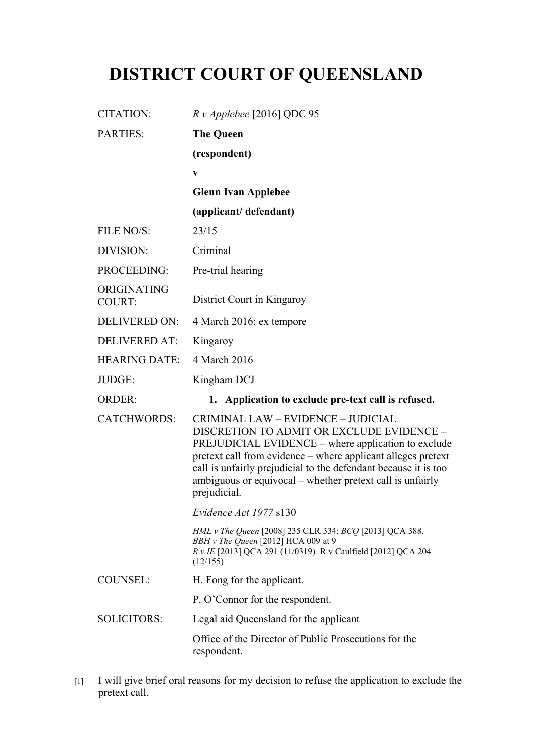## **DISTRICT COURT OF QUEENSLAND**

| <b>CITATION:</b>             | $Rv$ Applebee [2016] QDC 95                                                                                                                                                                                                                                                                                                                            |
|------------------------------|--------------------------------------------------------------------------------------------------------------------------------------------------------------------------------------------------------------------------------------------------------------------------------------------------------------------------------------------------------|
| <b>PARTIES:</b>              | <b>The Queen</b>                                                                                                                                                                                                                                                                                                                                       |
|                              | (respondent)                                                                                                                                                                                                                                                                                                                                           |
|                              | V                                                                                                                                                                                                                                                                                                                                                      |
|                              | <b>Glenn Ivan Applebee</b>                                                                                                                                                                                                                                                                                                                             |
|                              | (applicant/defendant)                                                                                                                                                                                                                                                                                                                                  |
| FILE NO/S:                   | 23/15                                                                                                                                                                                                                                                                                                                                                  |
| DIVISION:                    | Criminal                                                                                                                                                                                                                                                                                                                                               |
| PROCEEDING:                  | Pre-trial hearing                                                                                                                                                                                                                                                                                                                                      |
| ORIGINATING<br><b>COURT:</b> | District Court in Kingaroy                                                                                                                                                                                                                                                                                                                             |
| <b>DELIVERED ON:</b>         | 4 March 2016; ex tempore                                                                                                                                                                                                                                                                                                                               |
| <b>DELIVERED AT:</b>         | Kingaroy                                                                                                                                                                                                                                                                                                                                               |
| <b>HEARING DATE:</b>         | 4 March 2016                                                                                                                                                                                                                                                                                                                                           |
|                              |                                                                                                                                                                                                                                                                                                                                                        |
| JUDGE:                       | Kingham DCJ                                                                                                                                                                                                                                                                                                                                            |
| <b>ORDER:</b>                | 1. Application to exclude pre-text call is refused.                                                                                                                                                                                                                                                                                                    |
| <b>CATCHWORDS:</b>           | CRIMINAL LAW - EVIDENCE - JUDICIAL<br>DISCRETION TO ADMIT OR EXCLUDE EVIDENCE -<br>PREJUDICIAL EVIDENCE - where application to exclude<br>pretext call from evidence – where applicant alleges pretext<br>call is unfairly prejudicial to the defendant because it is too<br>ambiguous or equivocal - whether pretext call is unfairly<br>prejudicial. |
|                              | Evidence Act 1977 s130                                                                                                                                                                                                                                                                                                                                 |
|                              | HML v The Queen [2008] 235 CLR 334; BCQ [2013] QCA 388.<br>BBH v The Queen [2012] HCA 009 at 9<br>R v IE [2013] QCA 291 (11/0319), R v Caulfield [2012] QCA 204<br>(12/155)                                                                                                                                                                            |
| <b>COUNSEL:</b>              | H. Fong for the applicant.                                                                                                                                                                                                                                                                                                                             |
|                              | P. O'Connor for the respondent.                                                                                                                                                                                                                                                                                                                        |
| <b>SOLICITORS:</b>           | Legal aid Queensland for the applicant                                                                                                                                                                                                                                                                                                                 |

<sup>[1]</sup> I will give brief oral reasons for my decision to refuse the application to exclude the pretext call.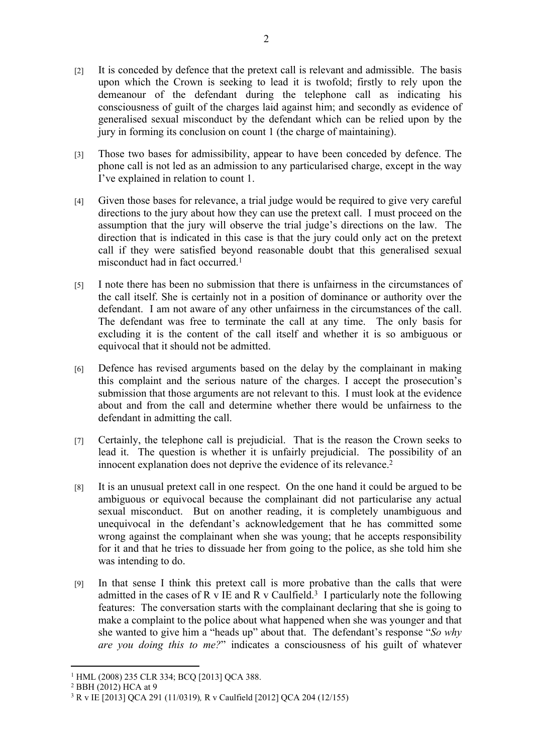- [2] It is conceded by defence that the pretext call is relevant and admissible. The basis upon which the Crown is seeking to lead it is twofold; firstly to rely upon the demeanour of the defendant during the telephone call as indicating his consciousness of guilt of the charges laid against him; and secondly as evidence of generalised sexual misconduct by the defendant which can be relied upon by the jury in forming its conclusion on count 1 (the charge of maintaining).
- [3] Those two bases for admissibility, appear to have been conceded by defence. The phone call is not led as an admission to any particularised charge, except in the way I've explained in relation to count 1.
- [4] Given those bases for relevance, a trial judge would be required to give very careful directions to the jury about how they can use the pretext call. I must proceed on the assumption that the jury will observe the trial judge's directions on the law. The direction that is indicated in this case is that the jury could only act on the pretext call if they were satisfied beyond reasonable doubt that this generalised sexual misconduct had in fact occurred.<sup>1</sup>
- [5] I note there has been no submission that there is unfairness in the circumstances of the call itself. She is certainly not in a position of dominance or authority over the defendant. I am not aware of any other unfairness in the circumstances of the call. The defendant was free to terminate the call at any time. The only basis for excluding it is the content of the call itself and whether it is so ambiguous or equivocal that it should not be admitted.
- [6] Defence has revised arguments based on the delay by the complainant in making this complaint and the serious nature of the charges. I accept the prosecution's submission that those arguments are not relevant to this. I must look at the evidence about and from the call and determine whether there would be unfairness to the defendant in admitting the call.
- [7] Certainly, the telephone call is prejudicial. That is the reason the Crown seeks to lead it. The question is whether it is unfairly prejudicial. The possibility of an innocent explanation does not deprive the evidence of its relevance.<sup>2</sup>
- [8] It is an unusual pretext call in one respect. On the one hand it could be argued to be ambiguous or equivocal because the complainant did not particularise any actual sexual misconduct. But on another reading, it is completely unambiguous and unequivocal in the defendant's acknowledgement that he has committed some wrong against the complainant when she was young; that he accepts responsibility for it and that he tries to dissuade her from going to the police, as she told him she was intending to do.
- [9] In that sense I think this pretext call is more probative than the calls that were admitted in the cases of R v IE and R v Caulfield.<sup>3</sup> I particularly note the following features: The conversation starts with the complainant declaring that she is going to make a complaint to the police about what happened when she was younger and that she wanted to give him a "heads up" about that. The defendant's response "*So why are you doing this to me?*" indicates a consciousness of his guilt of whatever

<sup>1</sup> HML (2008) 235 CLR 334; BCQ [2013] QCA 388.

<sup>2</sup> BBH (2012) HCA at 9

<sup>3</sup> R v IE [2013] QCA 291 (11/0319)*,* R v Caulfield [2012] QCA 204 (12/155)